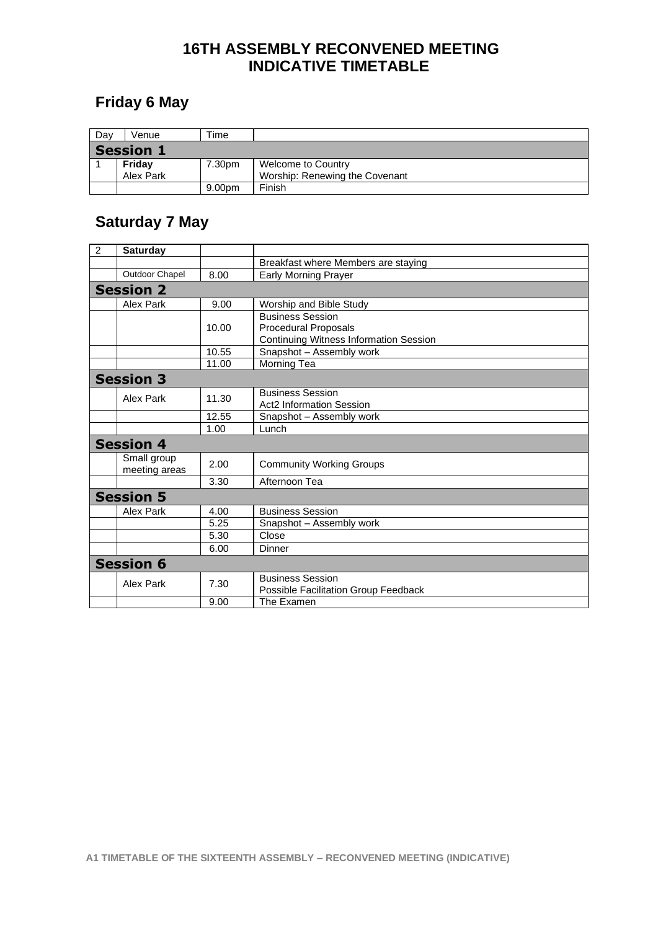### **16TH ASSEMBLY RECONVENED MEETING INDICATIVE TIMETABLE**

## **Friday 6 May**

| Day              | Venue     | ™e     |                                |  |
|------------------|-----------|--------|--------------------------------|--|
| <b>Session 1</b> |           |        |                                |  |
|                  | Friday    | 7.30pm | <b>Welcome to Country</b>      |  |
|                  | Alex Park |        | Worship: Renewing the Covenant |  |
|                  |           | 9.00pm | Finish                         |  |

## **Saturday 7 May**

| $\overline{2}$   | <b>Saturday</b>              |       |                                                                                                         |  |  |  |
|------------------|------------------------------|-------|---------------------------------------------------------------------------------------------------------|--|--|--|
|                  |                              |       | Breakfast where Members are staying                                                                     |  |  |  |
|                  | Outdoor Chapel               | 8.00  | <b>Early Morning Prayer</b>                                                                             |  |  |  |
| <b>Session 2</b> |                              |       |                                                                                                         |  |  |  |
|                  | Alex Park                    | 9.00  | Worship and Bible Study                                                                                 |  |  |  |
|                  |                              | 10.00 | <b>Business Session</b><br><b>Procedural Proposals</b><br><b>Continuing Witness Information Session</b> |  |  |  |
|                  |                              | 10.55 | Snapshot - Assembly work                                                                                |  |  |  |
|                  |                              | 11.00 | Morning Tea                                                                                             |  |  |  |
|                  | <b>Session 3</b>             |       |                                                                                                         |  |  |  |
|                  | Alex Park                    | 11.30 | <b>Business Session</b><br><b>Act2 Information Session</b>                                              |  |  |  |
|                  |                              | 12.55 | Snapshot - Assembly work                                                                                |  |  |  |
|                  |                              | 1.00  | Lunch                                                                                                   |  |  |  |
| <b>Session 4</b> |                              |       |                                                                                                         |  |  |  |
|                  | Small group<br>meeting areas | 2.00  | <b>Community Working Groups</b>                                                                         |  |  |  |
|                  |                              | 3.30  | Afternoon Tea                                                                                           |  |  |  |
|                  | <b>Session 5</b>             |       |                                                                                                         |  |  |  |
|                  | <b>Alex Park</b>             | 4.00  | <b>Business Session</b>                                                                                 |  |  |  |
|                  |                              | 5.25  | Snapshot - Assembly work                                                                                |  |  |  |
|                  |                              | 5.30  | Close                                                                                                   |  |  |  |
|                  |                              | 6.00  | Dinner                                                                                                  |  |  |  |
| <b>Session 6</b> |                              |       |                                                                                                         |  |  |  |
|                  | <b>Alex Park</b>             | 7.30  | <b>Business Session</b><br>Possible Facilitation Group Feedback                                         |  |  |  |
|                  |                              | 9.00  | The Examen                                                                                              |  |  |  |